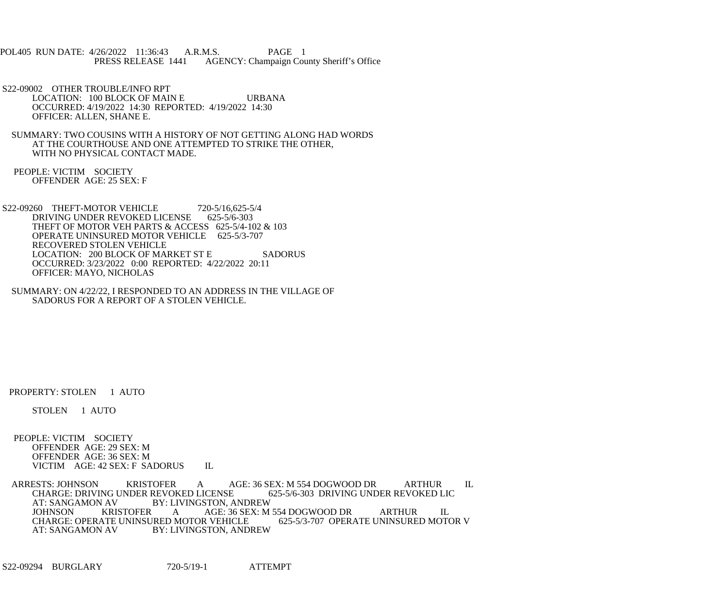POL405 RUN DATE: 4/26/2022 11:36:43 A.R.M.S. PAGE 1<br>PRESS RELEASE 1441 AGENCY: Champaign Cou AGENCY: Champaign County Sheriff's Office

 S22-09002 OTHER TROUBLE/INFO RPT LOCATION: 100 BLOCK OF MAIN E URBANA OCCURRED: 4/19/2022 14:30 REPORTED: 4/19/2022 14:30 OFFICER: ALLEN, SHANE E.

 SUMMARY: TWO COUSINS WITH A HISTORY OF NOT GETTING ALONG HAD WORDS AT THE COURTHOUSE AND ONE ATTEMPTED TO STRIKE THE OTHER, WITH NO PHYSICAL CONTACT MADE.

 PEOPLE: VICTIM SOCIETY OFFENDER AGE: 25 SEX: F

 S22-09260 THEFT-MOTOR VEHICLE 720-5/16,625-5/4 DRIVING UNDER REVOKED LICENSE 625-5/6-303 THEFT OF MOTOR VEH PARTS & ACCESS 625-5/4-102 & 103 OPERATE UNINSURED MOTOR VEHICLE 625-5/3-707 RECOVERED STOLEN VEHICLE LOCATION: 200 BLOCK OF MARKET ST E SADORUS OCCURRED: 3/23/2022 0:00 REPORTED: 4/22/2022 20:11 OFFICER: MAYO, NICHOLAS

 SUMMARY: ON 4/22/22, I RESPONDED TO AN ADDRESS IN THE VILLAGE OF SADORUS FOR A REPORT OF A STOLEN VEHICLE.

PROPERTY: STOLEN 1 AUTO

STOLEN 1 AUTO

 PEOPLE: VICTIM SOCIETY OFFENDER AGE: 29 SEX: M OFFENDER AGE: 36 SEX: M VICTIM AGE: 42 SEX: F SADORUS IL

ARRESTS: JOHNSON KRISTOFER A AGE: 36 SEX: M 554 DOGWOOD DR ARTHUR IL CHARGE: DRIVING UNDER REVOKED LICENSE 625-5/6-303 DRIVING UNDER REVOKED LIC CHARGE: DRIVING UNDER REVOKED LICENSE<br>AT: SANGAMON AV BY: LIVINGSTON, A VAV BY: LIVINGSTON, ANDREW<br>KRISTOFER A AGE: 36 SEX: M JOHNSON KRISTOFER A AGE: 36 SEX: M 554 DOGWOOD DR ARTHUR IL CHARGE: OPERATE UNINSURED MOTOR V CHARGE: OPERATE UNINSURED MOTOR VEHICLE<br>AT: SANGAMON AV BY: LIVINGSTON, AND BY: LIVINGSTON, ANDREW

S22-09294 BURGLARY 720-5/19-1 ATTEMPT